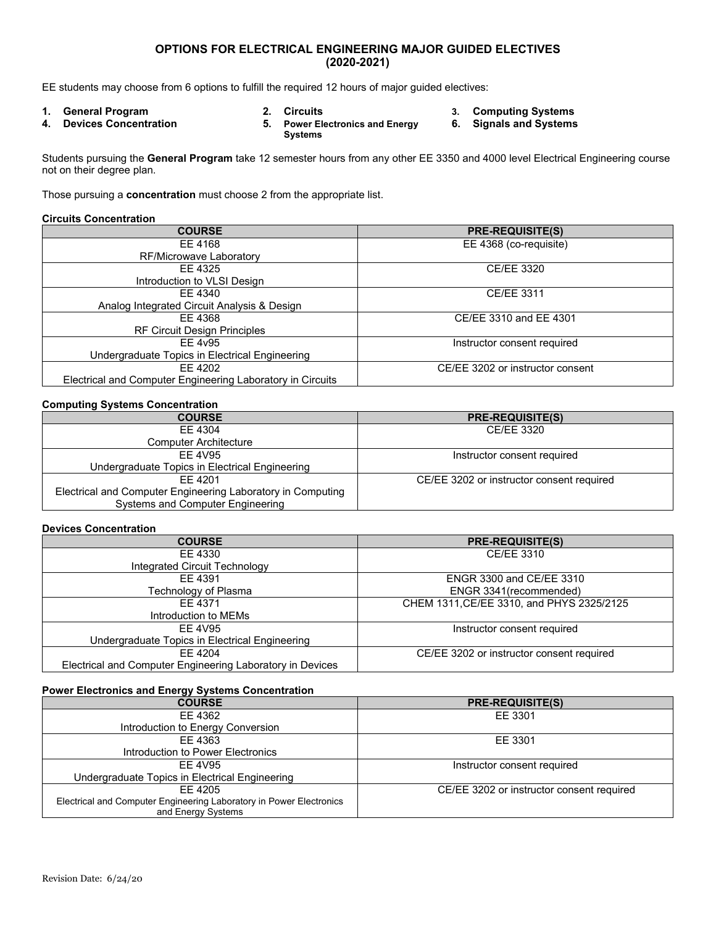## **OPTIONS FOR ELECTRICAL ENGINEERING MAJOR GUIDED ELECTIVES (2020-2021)**

EE students may choose from 6 options to fulfill the required 12 hours of major guided electives:

- 
- 
- **4. Devices Concentration 5. Power Electronics and Energy Systems**
- **1. General Program 2. Circuits 3. Computing Systems 6. Signals and Systems**
	-

Students pursuing the **General Program** take 12 semester hours from any other EE 3350 and 4000 level Electrical Engineering course not on their degree plan.

Those pursuing a **concentration** must choose 2 from the appropriate list.

#### **Circuits Concentration**

| <b>COURSE</b>                                              | <b>PRE-REQUISITE(S)</b>          |
|------------------------------------------------------------|----------------------------------|
| EE 4168                                                    | EE 4368 (co-requisite)           |
| RF/Microwave Laboratory                                    |                                  |
| EE 4325                                                    | CE/EE 3320                       |
| Introduction to VLSI Design                                |                                  |
| FF 4340                                                    | CE/EE 3311                       |
| Analog Integrated Circuit Analysis & Design                |                                  |
| EE 4368                                                    | CE/EE 3310 and EE 4301           |
| <b>RF Circuit Design Principles</b>                        |                                  |
| FF 4y95                                                    | Instructor consent required      |
| Undergraduate Topics in Electrical Engineering             |                                  |
| FF 4202                                                    | CE/EE 3202 or instructor consent |
| Electrical and Computer Engineering Laboratory in Circuits |                                  |

#### **Computing Systems Concentration**

| <b>COURSE</b>                                               | <b>PRE-REQUISITE(S)</b>                   |
|-------------------------------------------------------------|-------------------------------------------|
| FF 4304                                                     | CE/EE 3320                                |
| <b>Computer Architecture</b>                                |                                           |
| FF 4V95                                                     | Instructor consent required               |
| Undergraduate Topics in Electrical Engineering              |                                           |
| FF 4201                                                     | CE/EE 3202 or instructor consent required |
| Electrical and Computer Engineering Laboratory in Computing |                                           |
| Systems and Computer Engineering                            |                                           |

### **Devices Concentration**

| <b>COURSE</b>                                             | <b>PRE-REQUISITE(S)</b>                   |
|-----------------------------------------------------------|-------------------------------------------|
| EE 4330                                                   | CE/EE 3310                                |
| Integrated Circuit Technology                             |                                           |
| EE 4391                                                   | <b>ENGR 3300 and CE/EE 3310</b>           |
| Technology of Plasma                                      | ENGR 3341 (recommended)                   |
| EE 4371                                                   | CHEM 1311, CE/EE 3310, and PHYS 2325/2125 |
| Introduction to MEMs                                      |                                           |
| FF 4V95                                                   | Instructor consent required               |
| Undergraduate Topics in Electrical Engineering            |                                           |
| EE 4204                                                   | CE/EE 3202 or instructor consent required |
| Electrical and Computer Engineering Laboratory in Devices |                                           |

# **Power Electronics and Energy Systems Concentration**

| <b>COURSE</b>                                                       | <b>PRE-REQUISITE(S)</b>                   |
|---------------------------------------------------------------------|-------------------------------------------|
| EE 4362                                                             | EE 3301                                   |
| Introduction to Energy Conversion                                   |                                           |
| FF 4363                                                             | EE 3301                                   |
| Introduction to Power Electronics                                   |                                           |
| EE 4V95                                                             | Instructor consent required               |
| Undergraduate Topics in Electrical Engineering                      |                                           |
| FF 4205                                                             | CE/EE 3202 or instructor consent required |
| Electrical and Computer Engineering Laboratory in Power Electronics |                                           |
| and Energy Systems                                                  |                                           |